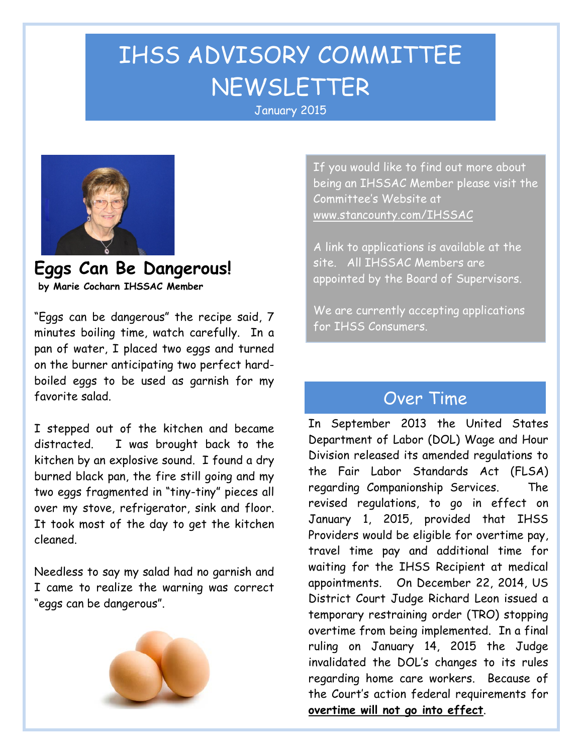# IHSS ADVISORY COMMITTEE NEWSLETTER January <sup>2015</sup>



**Eggs Can Be Dangerous! by Marie Cocharn IHSSAC Member**

"Eggs can be dangerous" the recipe said, 7 minutes boiling time, watch carefully. In a pan of water, I placed two eggs and turned on the burner anticipating two perfect hardboiled eggs to be used as garnish for my favorite salad.

I stepped out of the kitchen and became distracted. I was brought back to the kitchen by an explosive sound. I found a dry burned black pan, the fire still going and my two eggs fragmented in "tiny-tiny" pieces all over my stove, refrigerator, sink and floor. It took most of the day to get the kitchen cleaned.

Needless to say my salad had no garnish and I came to realize the warning was correct "eggs can be dangerous".



If you would like to find out more about being an IHSSAC Member please visit the Committee's Website at [www.stancounty.com/IHSSAC](http://www.stancounty.com/IHSSAC)

A link to applications is available at the site. All IHSSAC Members are appointed by the Board of Supervisors.

We are currently accepting applications for IHSS Consumers.

### Over Time

In September 2013 the United States Department of Labor (DOL) Wage and Hour Division released its amended regulations to the Fair Labor Standards Act (FLSA) regarding Companionship Services. The revised regulations, to go in effect on January 1, 2015, provided that IHSS Providers would be eligible for overtime pay, travel time pay and additional time for waiting for the IHSS Recipient at medical appointments. On December 22, 2014, US District Court Judge Richard Leon issued a temporary restraining order (TRO) stopping overtime from being implemented. In a final ruling on January 14, 2015 the Judge invalidated the DOL's changes to its rules regarding home care workers. Because of the Court's action federal requirements for **overtime will not go into effect**.